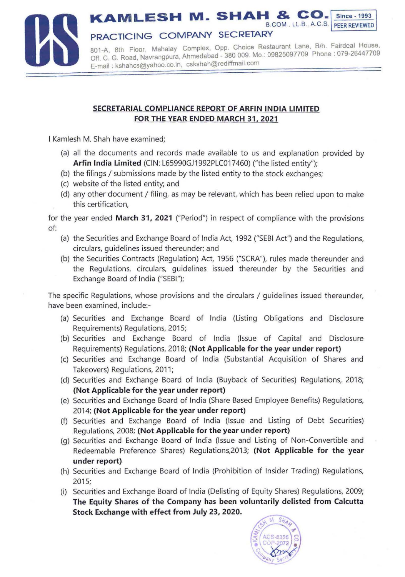

## **SECRETARIAL COMPLIANCE REPORT OF ARFIN INDIA LIMITED FOR THE YEAR ENDED MARCH 31, 2021**

I Kamlesh M. Shah have examined;

- (a) all the documents and records made available to us and explanation provided by Arfin India Limited (CIN: L65990GJ1992PLC017460) ("the listed entity"):
- (b) the filings / submissions made by the listed entity to the stock exchanges;
- (c) website of the listed entity; and
- (d) any other document / filing, as may be relevant, which has been relied upon to make this certification,

for the year ended **March 31, 2021** ("Period") in respect of compliance with the provisions of:

- (a) the Securities and Exchange Board of India Act, 1992 ("SEBI Act") and the Regulations, circulars, guidelines issued thereunder; and
- (b) the Securities Contracts (Regulation) Act, 1956 ("SCRA"), rules made thereunder and the Regulations, circulars, guidelines issued thereunder by the Securities and Exchange Board of India ("SEBI");

The specific Regulations, whose provisions and the circulars / guidelines issued thereunder, have been examined, include:-

- (a) Securities and Exchange Board of India (Listing Obligations and Disclosure Requirements) Regulations, 2015;
- (b) Securities and Exchange Board of India (Issue of Capital and Disclosure Requirements) Regulations, 2018; **(Not Applicable for the year under report)**
- (c) Securities and Exchange Board of India (Substantial Acquisition of Shares and Takeovers) Regulations, 2011;
- (d) Securities and Exchange Board of India (Buyback of Securities) Regulations, 2018; **(Not Applicable for the year under report}**
- (e) Securities and Exchange Board of India (Share Based Employee Benefits) Regulations, 2014; **(Not Applicable for the year under report}**
- (f) Securities and Exchange Board of India (Issue and Listing of Debt Securities) Regulations, 2008; **(Not Applicable for the year under report)**
- (g) Securities and Exchange Board of India (Issue and Listing of Non-Convertible and Redeemable Preference Shares) Regulations,2013; **(Not Applicable for the year under report}**
- (h) Securities and Exchange Board of India (Prohibition of Insider Trading) Regulations, 2015;
- (i) Securities and Exchange Board of India (Delisting of Equity Shares) Regulations, 2009; **The Equity Shares of the Company has been voluntarily delisted from Calcutta Stock Exchange with effect from July 23, 2020.**

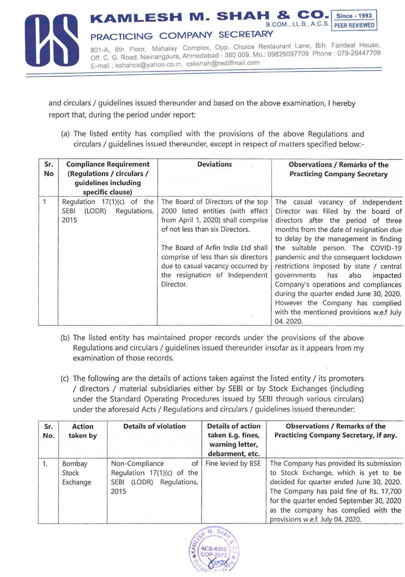

and circulars / guidelines issued thereunder and based on the above examination, I hereby report that, during the period under report:

(a) The listed entity has complied with the provisions of the above Regulations and circulars / guidelines issued thereunder, except in respect of matters specified below:-

| Sr.<br>No    | <b>Compliance Requirement</b><br>(Regulations / circulars /<br>guidelines including<br>specific clause) | <b>Deviations</b>                                                                                                                                                                                                                                                                                                | <b>Observations / Remarks of the</b><br><b>Practicing Company Secretary</b>                                                                                                                                                                                                                                                                                                                                                                                                                                                                        |  |
|--------------|---------------------------------------------------------------------------------------------------------|------------------------------------------------------------------------------------------------------------------------------------------------------------------------------------------------------------------------------------------------------------------------------------------------------------------|----------------------------------------------------------------------------------------------------------------------------------------------------------------------------------------------------------------------------------------------------------------------------------------------------------------------------------------------------------------------------------------------------------------------------------------------------------------------------------------------------------------------------------------------------|--|
| $\mathbf{1}$ | Regulation $17(1)(c)$ of the<br>Regulations,<br><b>SEBI</b><br>(LODR)<br>2015                           | The Board of Directors of the top<br>2000 listed entities (with effect<br>from April 1, 2020) shall comprise<br>of not less than six Directors.<br>The Board of Arfin India Ltd shall<br>comprise of less than six directors<br>due to casual vacancy occurred by<br>the resignation of Independent<br>Director. | The casual vacancy of Independent<br>Director was filled by the board of<br>directors after the period of three<br>months from the date of resignation due<br>to delay by the management in finding<br>the suitable person. The COVID-19<br>pandemic and the consequent lockdown<br>restrictions imposed by state / central<br>governments has<br>also<br>impacted<br>Company's operations and compliances<br>during the quarter ended June 30, 2020.<br>However the Company has complied<br>with the mentioned provisions w.e.f July<br>04, 2020. |  |

- (b) The listed entity has maintained proper records under the provisions of the above Regulations and circulars / guidelines issued thereunder insofar as it appears from my examination of those records.
- (c) The following are the details of actions taken against the listed entity/ its promoters / directors / material subsidiaries either by SEBI or by Stock Exchanges (including under the Standard Operating Procedures issued by SEBI through various circulars) under the aforesaid Acts / Regulations and circulars / guidelines issued thereunder:

| Sr.<br>No. | Action<br>taken by          | <b>Details of violation</b>                                                                           | <b>Details of action</b><br>taken E.g. fines,<br>warning letter,<br>debarment, etc. | <b>Observations / Remarks of the</b><br><b>Practicing Company Secretary, if any.</b>                                                                                                                                                                                                            |
|------------|-----------------------------|-------------------------------------------------------------------------------------------------------|-------------------------------------------------------------------------------------|-------------------------------------------------------------------------------------------------------------------------------------------------------------------------------------------------------------------------------------------------------------------------------------------------|
| 1.         | Bombay<br>Stock<br>Exchange | Non-Compliance<br>of<br>Regulation $17(1)(c)$ of the<br>Regulations,<br>(LODR)<br><b>SEBI</b><br>2015 | Fine levied by BSE                                                                  | The Company has provided its submission<br>to Stock Exchange, which is yet to be<br>decided for quarter ended June 30, 2020.<br>The Company has paid fine of Rs. 17,700<br>for the quarter ended September 30, 2020<br>as the company has complied with the<br>provisions w.e.f. July 04, 2020. |